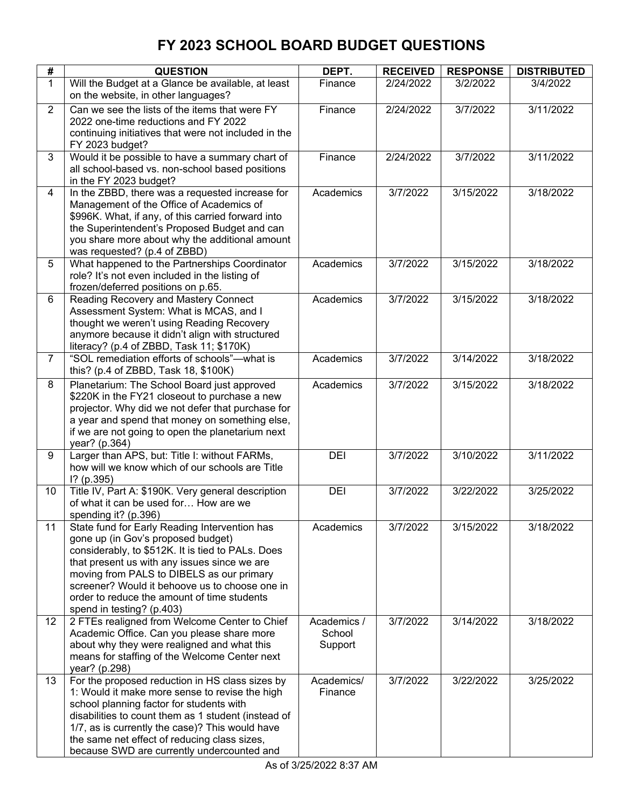| #              | <b>QUESTION</b>                                                                                        | DEPT.                 | <b>RECEIVED</b>    | <b>RESPONSE</b>        | <b>DISTRIBUTED</b>     |
|----------------|--------------------------------------------------------------------------------------------------------|-----------------------|--------------------|------------------------|------------------------|
| $\mathbf{1}$   | Will the Budget at a Glance be available, at least                                                     | Finance               | 2/24/2022          | 3/2/2022               | 3/4/2022               |
|                | on the website, in other languages?                                                                    |                       |                    |                        |                        |
| $\overline{2}$ | Can we see the lists of the items that were FY                                                         | Finance               | 2/24/2022          | 3/7/2022               | 3/11/2022              |
|                | 2022 one-time reductions and FY 2022                                                                   |                       |                    |                        |                        |
|                | continuing initiatives that were not included in the                                                   |                       |                    |                        |                        |
| 3              | FY 2023 budget?<br>Would it be possible to have a summary chart of                                     | Finance               | 2/24/2022          | 3/7/2022               | 3/11/2022              |
|                | all school-based vs. non-school based positions                                                        |                       |                    |                        |                        |
|                | in the FY 2023 budget?                                                                                 |                       |                    |                        |                        |
| $\overline{4}$ | In the ZBBD, there was a requested increase for                                                        | Academics             | 3/7/2022           | 3/15/2022              | 3/18/2022              |
|                | Management of the Office of Academics of                                                               |                       |                    |                        |                        |
|                | \$996K. What, if any, of this carried forward into                                                     |                       |                    |                        |                        |
|                | the Superintendent's Proposed Budget and can                                                           |                       |                    |                        |                        |
|                | you share more about why the additional amount                                                         |                       |                    |                        |                        |
| 5              | was requested? (p.4 of ZBBD)<br>What happened to the Partnerships Coordinator                          | Academics             | 3/7/2022           | $\overline{3}/15/2022$ | $\overline{3}/18/2022$ |
|                | role? It's not even included in the listing of                                                         |                       |                    |                        |                        |
|                | frozen/deferred positions on p.65.                                                                     |                       |                    |                        |                        |
| 6              | Reading Recovery and Mastery Connect                                                                   | Academics             | 3/7/2022           | 3/15/2022              | 3/18/2022              |
|                | Assessment System: What is MCAS, and I                                                                 |                       |                    |                        |                        |
|                | thought we weren't using Reading Recovery                                                              |                       |                    |                        |                        |
|                | anymore because it didn't align with structured                                                        |                       |                    |                        |                        |
| 7              | literacy? (p.4 of ZBBD, Task 11; \$170K)<br>"SOL remediation efforts of schools"-- what is             | Academics             | 3/7/2022           | 3/14/2022              | 3/18/2022              |
|                | this? (p.4 of ZBBD, Task 18, \$100K)                                                                   |                       |                    |                        |                        |
| 8              | Planetarium: The School Board just approved                                                            | Academics             | 3/7/2022           | 3/15/2022              | 3/18/2022              |
|                | \$220K in the FY21 closeout to purchase a new                                                          |                       |                    |                        |                        |
|                | projector. Why did we not defer that purchase for                                                      |                       |                    |                        |                        |
|                | a year and spend that money on something else,                                                         |                       |                    |                        |                        |
|                | if we are not going to open the planetarium next                                                       |                       |                    |                        |                        |
| 9              | year? (p.364)<br>Larger than APS, but: Title I: without FARMs,                                         | DEI                   | 3/7/2022           | 3/10/2022              | 3/11/2022              |
|                | how will we know which of our schools are Title                                                        |                       |                    |                        |                        |
|                | $1?$ (p.395)                                                                                           |                       |                    |                        |                        |
| 10             | Title IV, Part A: \$190K. Very general description                                                     | DEI                   | 3/7/2022           | 3/22/2022              | 3/25/2022              |
|                | of what it can be used for How are we                                                                  |                       |                    |                        |                        |
|                | spending it? (p.396)                                                                                   |                       |                    |                        |                        |
| 11             | State fund for Early Reading Intervention has                                                          | Academics             | 3/7/2022           | 3/15/2022              | 3/18/2022              |
|                | gone up (in Gov's proposed budget)<br>considerably, to \$512K. It is tied to PALs. Does                |                       |                    |                        |                        |
|                | that present us with any issues since we are                                                           |                       |                    |                        |                        |
|                | moving from PALS to DIBELS as our primary                                                              |                       |                    |                        |                        |
|                | screener? Would it behoove us to choose one in                                                         |                       |                    |                        |                        |
|                | order to reduce the amount of time students                                                            |                       |                    |                        |                        |
|                | spend in testing? (p.403)                                                                              |                       |                    |                        |                        |
| 12             | 2 FTEs realigned from Welcome Center to Chief                                                          | Academics /<br>School | 3/7/2022           | 3/14/2022              | 3/18/2022              |
|                | Academic Office. Can you please share more<br>about why they were realigned and what this              | Support               |                    |                        |                        |
|                | means for staffing of the Welcome Center next                                                          |                       |                    |                        |                        |
|                | year? (p.298)                                                                                          |                       |                    |                        |                        |
| 13             | For the proposed reduction in HS class sizes by                                                        | Academics/            | $\frac{3}{7/2022}$ | 3/22/2022              | 3/25/2022              |
|                | 1: Would it make more sense to revise the high                                                         | Finance               |                    |                        |                        |
|                | school planning factor for students with                                                               |                       |                    |                        |                        |
|                | disabilities to count them as 1 student (instead of<br>1/7, as is currently the case)? This would have |                       |                    |                        |                        |
|                | the same net effect of reducing class sizes,                                                           |                       |                    |                        |                        |
|                | because SWD are currently undercounted and                                                             |                       |                    |                        |                        |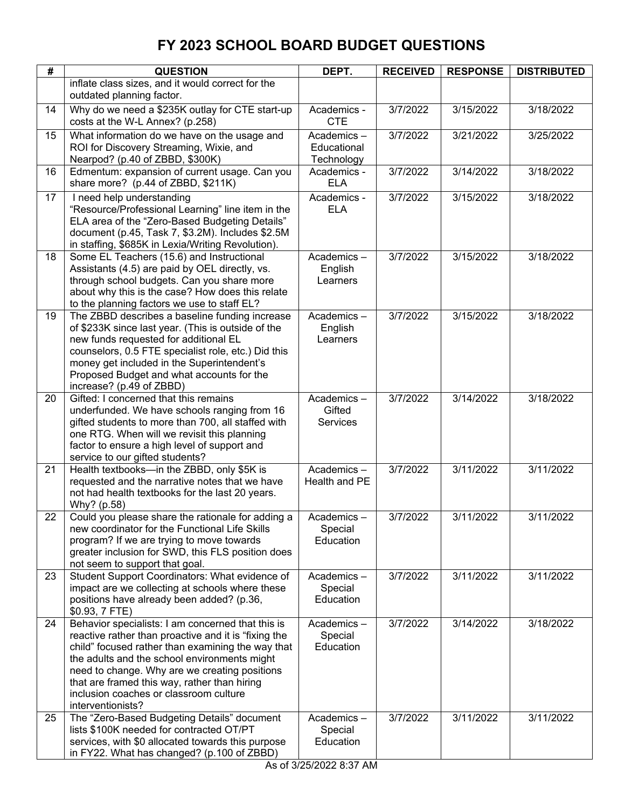| #  | <b>QUESTION</b>                                                                                                                                                                                                                                                                                                                                                                | DEPT.                                   | <b>RECEIVED</b> | <b>RESPONSE</b> | <b>DISTRIBUTED</b> |
|----|--------------------------------------------------------------------------------------------------------------------------------------------------------------------------------------------------------------------------------------------------------------------------------------------------------------------------------------------------------------------------------|-----------------------------------------|-----------------|-----------------|--------------------|
|    | inflate class sizes, and it would correct for the<br>outdated planning factor.                                                                                                                                                                                                                                                                                                 |                                         |                 |                 |                    |
| 14 | Why do we need a \$235K outlay for CTE start-up<br>costs at the W-L Annex? (p.258)                                                                                                                                                                                                                                                                                             | Academics -<br><b>CTE</b>               | 3/7/2022        | 3/15/2022       | 3/18/2022          |
| 15 | What information do we have on the usage and<br>ROI for Discovery Streaming, Wixie, and<br>Nearpod? (p.40 of ZBBD, \$300K)                                                                                                                                                                                                                                                     | Academics-<br>Educational<br>Technology | 3/7/2022        | 3/21/2022       | 3/25/2022          |
| 16 | Edmentum: expansion of current usage. Can you<br>share more? (p.44 of ZBBD, \$211K)                                                                                                                                                                                                                                                                                            | Academics -<br><b>ELA</b>               | 3/7/2022        | 3/14/2022       | 3/18/2022          |
| 17 | I need help understanding<br>"Resource/Professional Learning" line item in the<br>ELA area of the "Zero-Based Budgeting Details"<br>document (p.45, Task 7, \$3.2M). Includes \$2.5M<br>in staffing, \$685K in Lexia/Writing Revolution).                                                                                                                                      | Academics -<br><b>ELA</b>               | 3/7/2022        | 3/15/2022       | 3/18/2022          |
| 18 | Some EL Teachers (15.6) and Instructional<br>Assistants (4.5) are paid by OEL directly, vs.<br>through school budgets. Can you share more<br>about why this is the case? How does this relate<br>to the planning factors we use to staff EL?                                                                                                                                   | Academics-<br>English<br>Learners       | 3/7/2022        | 3/15/2022       | 3/18/2022          |
| 19 | The ZBBD describes a baseline funding increase<br>of \$233K since last year. (This is outside of the<br>new funds requested for additional EL<br>counselors, 0.5 FTE specialist role, etc.) Did this<br>money get included in the Superintendent's<br>Proposed Budget and what accounts for the<br>increase? (p.49 of ZBBD)                                                    | Academics-<br>English<br>Learners       | 3/7/2022        | 3/15/2022       | 3/18/2022          |
| 20 | Gifted: I concerned that this remains<br>underfunded. We have schools ranging from 16<br>gifted students to more than 700, all staffed with<br>one RTG. When will we revisit this planning<br>factor to ensure a high level of support and<br>service to our gifted students?                                                                                                  | Academics-<br>Gifted<br><b>Services</b> | 3/7/2022        | 3/14/2022       | 3/18/2022          |
| 21 | Health textbooks-in the ZBBD, only \$5K is<br>requested and the narrative notes that we have<br>not had health textbooks for the last 20 years.<br>Why? (p.58)                                                                                                                                                                                                                 | Academics-<br>Health and PE             | 3/7/2022        | 3/11/2022       | 3/11/2022          |
| 22 | Could you please share the rationale for adding a<br>new coordinator for the Functional Life Skills<br>program? If we are trying to move towards<br>greater inclusion for SWD, this FLS position does<br>not seem to support that goal.                                                                                                                                        | Academics -<br>Special<br>Education     | 3/7/2022        | 3/11/2022       | 3/11/2022          |
| 23 | Student Support Coordinators: What evidence of<br>impact are we collecting at schools where these<br>positions have already been added? (p.36,<br>\$0.93, 7 FTE)                                                                                                                                                                                                               | Academics-<br>Special<br>Education      | 3/7/2022        | 3/11/2022       | 3/11/2022          |
| 24 | Behavior specialists: I am concerned that this is<br>reactive rather than proactive and it is "fixing the<br>child" focused rather than examining the way that<br>the adults and the school environments might<br>need to change. Why are we creating positions<br>that are framed this way, rather than hiring<br>inclusion coaches or classroom culture<br>interventionists? | Academics-<br>Special<br>Education      | 3/7/2022        | 3/14/2022       | 3/18/2022          |
| 25 | The "Zero-Based Budgeting Details" document<br>lists \$100K needed for contracted OT/PT<br>services, with \$0 allocated towards this purpose<br>in FY22. What has changed? (p.100 of ZBBD)                                                                                                                                                                                     | Academics-<br>Special<br>Education      | 3/7/2022        | 3/11/2022       | 3/11/2022          |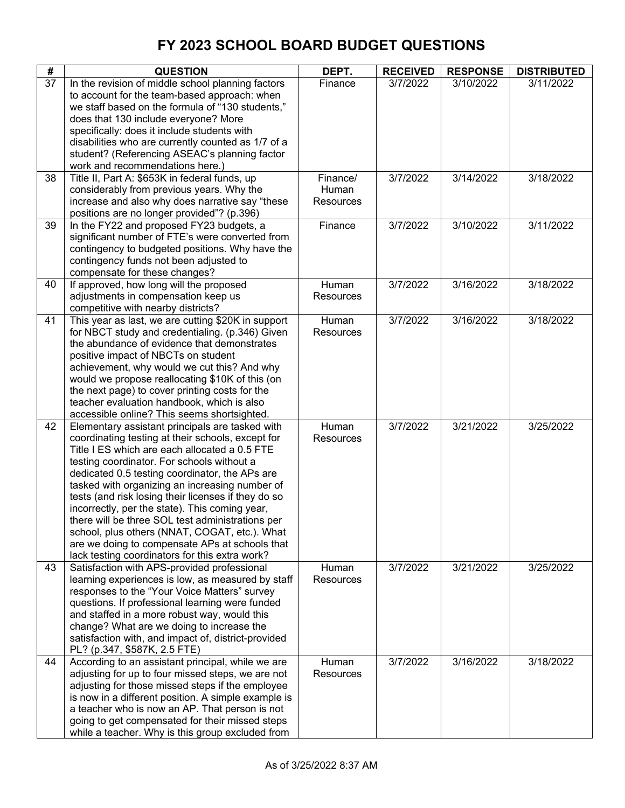| #  | <b>QUESTION</b>                                                                                                                                                                                                                                                                                                                                                                                                                                                                                                                                                                                                           | DEPT.                          | <b>RECEIVED</b> | <b>RESPONSE</b> | <b>DISTRIBUTED</b> |
|----|---------------------------------------------------------------------------------------------------------------------------------------------------------------------------------------------------------------------------------------------------------------------------------------------------------------------------------------------------------------------------------------------------------------------------------------------------------------------------------------------------------------------------------------------------------------------------------------------------------------------------|--------------------------------|-----------------|-----------------|--------------------|
| 37 | In the revision of middle school planning factors<br>to account for the team-based approach: when<br>we staff based on the formula of "130 students,"<br>does that 130 include everyone? More<br>specifically: does it include students with<br>disabilities who are currently counted as 1/7 of a<br>student? (Referencing ASEAC's planning factor<br>work and recommendations here.)                                                                                                                                                                                                                                    | Finance                        | 3/7/2022        | 3/10/2022       | 3/11/2022          |
| 38 | Title II, Part A: \$653K in federal funds, up<br>considerably from previous years. Why the<br>increase and also why does narrative say "these<br>positions are no longer provided"? (p.396)                                                                                                                                                                                                                                                                                                                                                                                                                               | Finance/<br>Human<br>Resources | 3/7/2022        | 3/14/2022       | 3/18/2022          |
| 39 | In the FY22 and proposed FY23 budgets, a<br>significant number of FTE's were converted from<br>contingency to budgeted positions. Why have the<br>contingency funds not been adjusted to<br>compensate for these changes?                                                                                                                                                                                                                                                                                                                                                                                                 | Finance                        | 3/7/2022        | 3/10/2022       | 3/11/2022          |
| 40 | If approved, how long will the proposed<br>adjustments in compensation keep us<br>competitive with nearby districts?                                                                                                                                                                                                                                                                                                                                                                                                                                                                                                      | Human<br><b>Resources</b>      | 3/7/2022        | 3/16/2022       | 3/18/2022          |
| 41 | This year as last, we are cutting \$20K in support<br>for NBCT study and credentialing. (p.346) Given<br>the abundance of evidence that demonstrates<br>positive impact of NBCTs on student<br>achievement, why would we cut this? And why<br>would we propose reallocating \$10K of this (on<br>the next page) to cover printing costs for the<br>teacher evaluation handbook, which is also<br>accessible online? This seems shortsighted.                                                                                                                                                                              | Human<br><b>Resources</b>      | 3/7/2022        | 3/16/2022       | 3/18/2022          |
| 42 | Elementary assistant principals are tasked with<br>coordinating testing at their schools, except for<br>Title I ES which are each allocated a 0.5 FTE<br>testing coordinator. For schools without a<br>dedicated 0.5 testing coordinator, the APs are<br>tasked with organizing an increasing number of<br>tests (and risk losing their licenses if they do so<br>incorrectly, per the state). This coming year,<br>there will be three SOL test administrations per<br>school, plus others (NNAT, COGAT, etc.). What<br>are we doing to compensate APs at schools that<br>lack testing coordinators for this extra work? | Human<br>Resources             | 3/7/2022        | 3/21/2022       | 3/25/2022          |
| 43 | Satisfaction with APS-provided professional<br>learning experiences is low, as measured by staff<br>responses to the "Your Voice Matters" survey<br>questions. If professional learning were funded<br>and staffed in a more robust way, would this<br>change? What are we doing to increase the<br>satisfaction with, and impact of, district-provided<br>PL? (p.347, \$587K, 2.5 FTE)                                                                                                                                                                                                                                   | Human<br><b>Resources</b>      | 3/7/2022        | 3/21/2022       | 3/25/2022          |
| 44 | According to an assistant principal, while we are<br>adjusting for up to four missed steps, we are not<br>adjusting for those missed steps if the employee<br>is now in a different position. A simple example is<br>a teacher who is now an AP. That person is not<br>going to get compensated for their missed steps<br>while a teacher. Why is this group excluded from                                                                                                                                                                                                                                                | Human<br>Resources             | 3/7/2022        | 3/16/2022       | 3/18/2022          |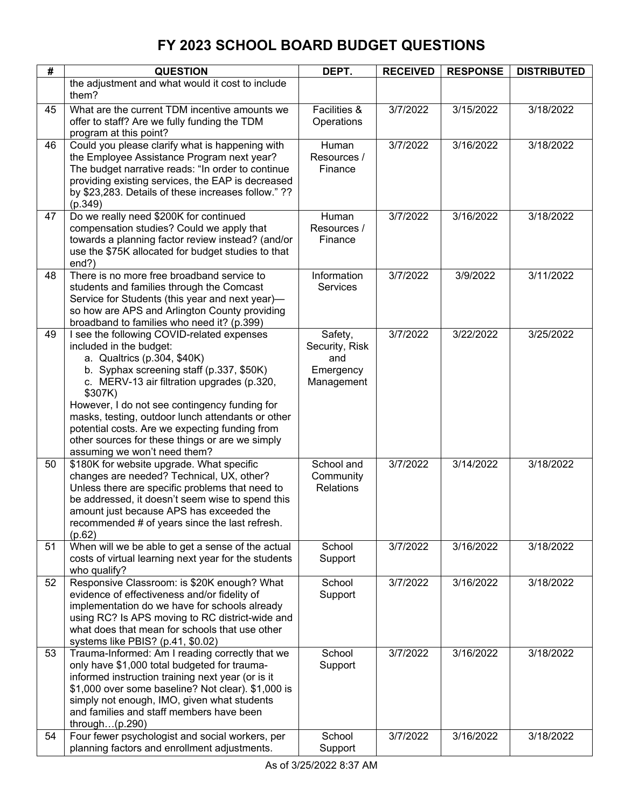| #  | <b>QUESTION</b>                                                                         | DEPT.                | <b>RECEIVED</b> | <b>RESPONSE</b> | <b>DISTRIBUTED</b> |
|----|-----------------------------------------------------------------------------------------|----------------------|-----------------|-----------------|--------------------|
|    | the adjustment and what would it cost to include                                        |                      |                 |                 |                    |
|    | them?                                                                                   |                      |                 |                 |                    |
| 45 | What are the current TDM incentive amounts we                                           | Facilities &         | 3/7/2022        | 3/15/2022       | 3/18/2022          |
|    | offer to staff? Are we fully funding the TDM                                            | Operations           |                 |                 |                    |
|    | program at this point?                                                                  |                      |                 |                 |                    |
| 46 | Could you please clarify what is happening with                                         | Human                | 3/7/2022        | 3/16/2022       | 3/18/2022          |
|    | the Employee Assistance Program next year?                                              | Resources /          |                 |                 |                    |
|    | The budget narrative reads: "In order to continue                                       | Finance              |                 |                 |                    |
|    | providing existing services, the EAP is decreased                                       |                      |                 |                 |                    |
|    | by \$23,283. Details of these increases follow." ??                                     |                      |                 |                 |                    |
|    | (p.349)                                                                                 |                      |                 |                 |                    |
| 47 | Do we really need \$200K for continued<br>compensation studies? Could we apply that     | Human<br>Resources / | 3/7/2022        | 3/16/2022       | 3/18/2022          |
|    | towards a planning factor review instead? (and/or                                       | Finance              |                 |                 |                    |
|    | use the \$75K allocated for budget studies to that                                      |                      |                 |                 |                    |
|    | end?)                                                                                   |                      |                 |                 |                    |
| 48 | There is no more free broadband service to                                              | Information          | 3/7/2022        | 3/9/2022        | 3/11/2022          |
|    | students and families through the Comcast                                               | <b>Services</b>      |                 |                 |                    |
|    | Service for Students (this year and next year)-                                         |                      |                 |                 |                    |
|    | so how are APS and Arlington County providing                                           |                      |                 |                 |                    |
|    | broadband to families who need it? (p.399)                                              |                      |                 |                 |                    |
| 49 | I see the following COVID-related expenses                                              | Safety,              | 3/7/2022        | 3/22/2022       | 3/25/2022          |
|    | included in the budget:                                                                 | Security, Risk       |                 |                 |                    |
|    | a. Qualtrics (p.304, \$40K)                                                             | and                  |                 |                 |                    |
|    | b. Syphax screening staff (p.337, \$50K)                                                | Emergency            |                 |                 |                    |
|    | c. MERV-13 air filtration upgrades (p.320,                                              | Management           |                 |                 |                    |
|    | \$307K)<br>However, I do not see contingency funding for                                |                      |                 |                 |                    |
|    | masks, testing, outdoor lunch attendants or other                                       |                      |                 |                 |                    |
|    | potential costs. Are we expecting funding from                                          |                      |                 |                 |                    |
|    | other sources for these things or are we simply                                         |                      |                 |                 |                    |
|    | assuming we won't need them?                                                            |                      |                 |                 |                    |
| 50 | \$180K for website upgrade. What specific                                               | School and           | 3/7/2022        | 3/14/2022       | 3/18/2022          |
|    | changes are needed? Technical, UX, other?                                               | Community            |                 |                 |                    |
|    | Unless there are specific problems that need to                                         | <b>Relations</b>     |                 |                 |                    |
|    | be addressed, it doesn't seem wise to spend this                                        |                      |                 |                 |                    |
|    | amount just because APS has exceeded the                                                |                      |                 |                 |                    |
|    | recommended # of years since the last refresh.                                          |                      |                 |                 |                    |
| 51 | (p.62)<br>When will we be able to get a sense of the actual                             | School               | 3/7/2022        | 3/16/2022       | 3/18/2022          |
|    | costs of virtual learning next year for the students                                    | Support              |                 |                 |                    |
|    | who qualify?                                                                            |                      |                 |                 |                    |
| 52 | Responsive Classroom: is \$20K enough? What                                             | School               | 3/7/2022        | 3/16/2022       | 3/18/2022          |
|    | evidence of effectiveness and/or fidelity of                                            | Support              |                 |                 |                    |
|    | implementation do we have for schools already                                           |                      |                 |                 |                    |
|    | using RC? Is APS moving to RC district-wide and                                         |                      |                 |                 |                    |
|    | what does that mean for schools that use other                                          |                      |                 |                 |                    |
|    | systems like PBIS? (p.41, \$0.02)                                                       |                      |                 |                 |                    |
| 53 | Trauma-Informed: Am I reading correctly that we                                         | School               | 3/7/2022        | 3/16/2022       | 3/18/2022          |
|    | only have \$1,000 total budgeted for trauma-                                            | Support              |                 |                 |                    |
|    | informed instruction training next year (or is it                                       |                      |                 |                 |                    |
|    | \$1,000 over some baseline? Not clear). \$1,000 is                                      |                      |                 |                 |                    |
|    | simply not enough, IMO, given what students<br>and families and staff members have been |                      |                 |                 |                    |
|    | through $(p.290)$                                                                       |                      |                 |                 |                    |
| 54 | Four fewer psychologist and social workers, per                                         | School               | 3/7/2022        | 3/16/2022       | 3/18/2022          |
|    | planning factors and enrollment adjustments.                                            | Support              |                 |                 |                    |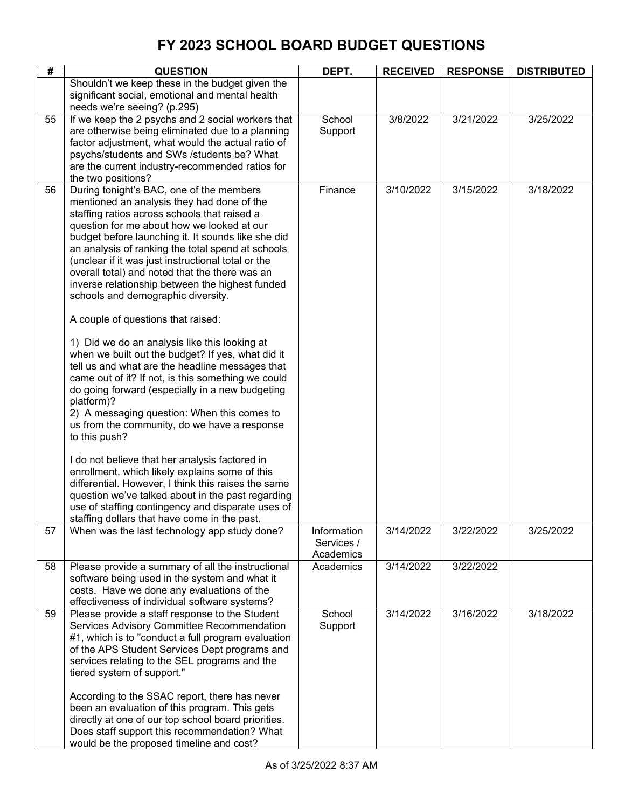| #  | <b>QUESTION</b>                                                                                                                                                                                                                                                                                                                                                                                                                                                                                                                                                                                                                                                                                                                                                                                                                                                                                                                                                                                                                                                                                                                                                                                                                                             | DEPT.                                  | <b>RECEIVED</b> | <b>RESPONSE</b> | <b>DISTRIBUTED</b> |
|----|-------------------------------------------------------------------------------------------------------------------------------------------------------------------------------------------------------------------------------------------------------------------------------------------------------------------------------------------------------------------------------------------------------------------------------------------------------------------------------------------------------------------------------------------------------------------------------------------------------------------------------------------------------------------------------------------------------------------------------------------------------------------------------------------------------------------------------------------------------------------------------------------------------------------------------------------------------------------------------------------------------------------------------------------------------------------------------------------------------------------------------------------------------------------------------------------------------------------------------------------------------------|----------------------------------------|-----------------|-----------------|--------------------|
|    | Shouldn't we keep these in the budget given the<br>significant social, emotional and mental health<br>needs we're seeing? (p.295)                                                                                                                                                                                                                                                                                                                                                                                                                                                                                                                                                                                                                                                                                                                                                                                                                                                                                                                                                                                                                                                                                                                           |                                        |                 |                 |                    |
| 55 | If we keep the 2 psychs and 2 social workers that<br>are otherwise being eliminated due to a planning<br>factor adjustment, what would the actual ratio of<br>psychs/students and SWs /students be? What<br>are the current industry-recommended ratios for<br>the two positions?                                                                                                                                                                                                                                                                                                                                                                                                                                                                                                                                                                                                                                                                                                                                                                                                                                                                                                                                                                           | School<br>Support                      | 3/8/2022        | 3/21/2022       | 3/25/2022          |
| 56 | During tonight's BAC, one of the members<br>mentioned an analysis they had done of the<br>staffing ratios across schools that raised a<br>question for me about how we looked at our<br>budget before launching it. It sounds like she did<br>an analysis of ranking the total spend at schools<br>(unclear if it was just instructional total or the<br>overall total) and noted that the there was an<br>inverse relationship between the highest funded<br>schools and demographic diversity.<br>A couple of questions that raised:<br>1) Did we do an analysis like this looking at<br>when we built out the budget? If yes, what did it<br>tell us and what are the headline messages that<br>came out of it? If not, is this something we could<br>do going forward (especially in a new budgeting<br>platform)?<br>2) A messaging question: When this comes to<br>us from the community, do we have a response<br>to this push?<br>I do not believe that her analysis factored in<br>enrollment, which likely explains some of this<br>differential. However, I think this raises the same<br>question we've talked about in the past regarding<br>use of staffing contingency and disparate uses of<br>staffing dollars that have come in the past. | Finance                                | 3/10/2022       | 3/15/2022       | 3/18/2022          |
| 57 | When was the last technology app study done?                                                                                                                                                                                                                                                                                                                                                                                                                                                                                                                                                                                                                                                                                                                                                                                                                                                                                                                                                                                                                                                                                                                                                                                                                | Information<br>Services /<br>Academics | 3/14/2022       | 3/22/2022       | 3/25/2022          |
| 58 | Please provide a summary of all the instructional<br>software being used in the system and what it<br>costs. Have we done any evaluations of the<br>effectiveness of individual software systems?                                                                                                                                                                                                                                                                                                                                                                                                                                                                                                                                                                                                                                                                                                                                                                                                                                                                                                                                                                                                                                                           | Academics                              | 3/14/2022       | 3/22/2022       |                    |
| 59 | Please provide a staff response to the Student<br>Services Advisory Committee Recommendation<br>#1, which is to "conduct a full program evaluation<br>of the APS Student Services Dept programs and<br>services relating to the SEL programs and the<br>tiered system of support."<br>According to the SSAC report, there has never<br>been an evaluation of this program. This gets<br>directly at one of our top school board priorities.<br>Does staff support this recommendation? What<br>would be the proposed timeline and cost?                                                                                                                                                                                                                                                                                                                                                                                                                                                                                                                                                                                                                                                                                                                     | School<br>Support                      | 3/14/2022       | 3/16/2022       | 3/18/2022          |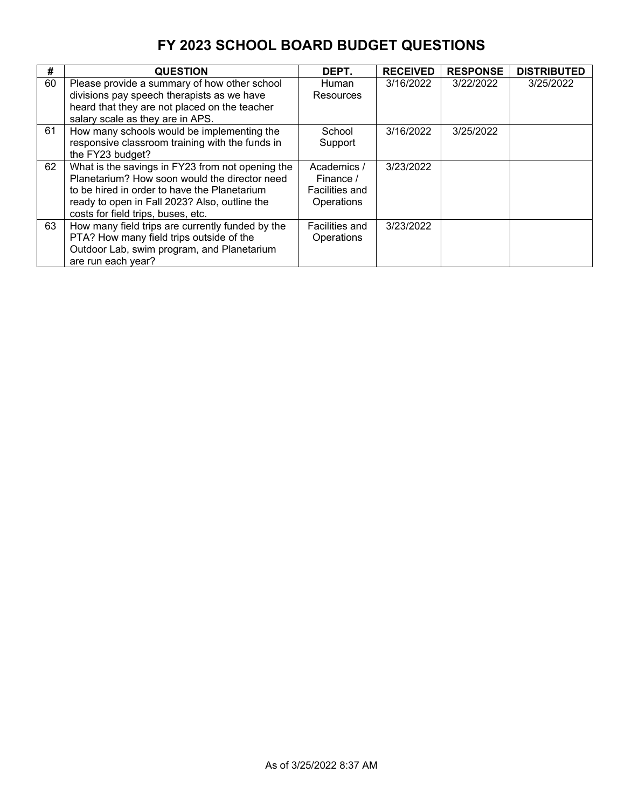| #  | <b>QUESTION</b>                                  | DEPT.          | <b>RECEIVED</b> | <b>RESPONSE</b> | <b>DISTRIBUTED</b> |
|----|--------------------------------------------------|----------------|-----------------|-----------------|--------------------|
| 60 | Please provide a summary of how other school     | <b>Human</b>   | 3/16/2022       | 3/22/2022       | 3/25/2022          |
|    | divisions pay speech therapists as we have       | Resources      |                 |                 |                    |
|    | heard that they are not placed on the teacher    |                |                 |                 |                    |
|    | salary scale as they are in APS.                 |                |                 |                 |                    |
| 61 | How many schools would be implementing the       | School         | 3/16/2022       | 3/25/2022       |                    |
|    | responsive classroom training with the funds in  | Support        |                 |                 |                    |
|    | the FY23 budget?                                 |                |                 |                 |                    |
| 62 | What is the savings in FY23 from not opening the | Academics /    | 3/23/2022       |                 |                    |
|    | Planetarium? How soon would the director need    | Finance /      |                 |                 |                    |
|    | to be hired in order to have the Planetarium     | Facilities and |                 |                 |                    |
|    | ready to open in Fall 2023? Also, outline the    | Operations     |                 |                 |                    |
|    | costs for field trips, buses, etc.               |                |                 |                 |                    |
| 63 | How many field trips are currently funded by the | Facilities and | 3/23/2022       |                 |                    |
|    | PTA? How many field trips outside of the         | Operations     |                 |                 |                    |
|    | Outdoor Lab, swim program, and Planetarium       |                |                 |                 |                    |
|    | are run each year?                               |                |                 |                 |                    |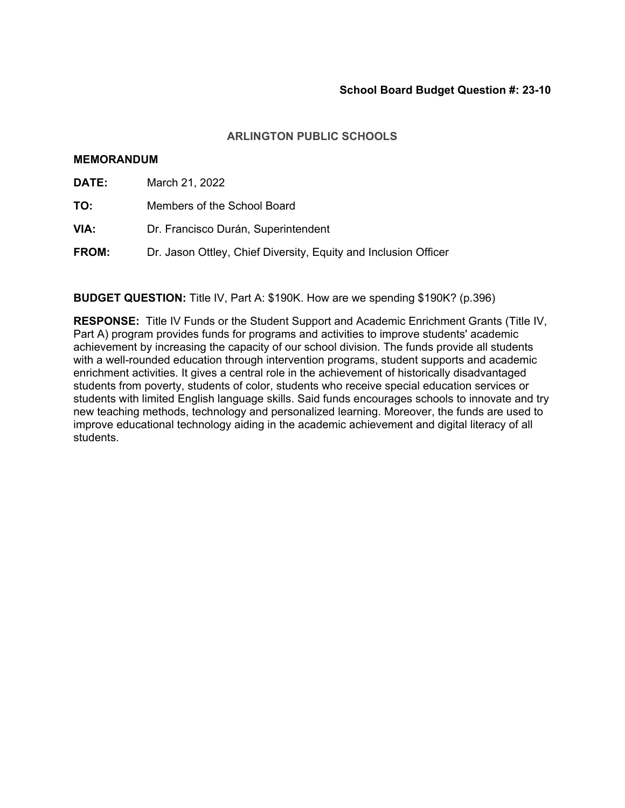### **MEMORANDUM**

| <b>DATE:</b> | March 21, 2022                                                  |
|--------------|-----------------------------------------------------------------|
| TO:          | Members of the School Board                                     |
| VIA:         | Dr. Francisco Durán, Superintendent                             |
| <b>FROM:</b> | Dr. Jason Ottley, Chief Diversity, Equity and Inclusion Officer |

**BUDGET QUESTION:** Title IV, Part A: \$190K. How are we spending \$190K? (p.396)

**RESPONSE:** Title IV Funds or the Student Support and Academic Enrichment Grants (Title IV, Part A) program provides funds for programs and activities to improve students' academic achievement by increasing the capacity of our school division. The funds provide all students with a well-rounded education through intervention programs, student supports and academic enrichment activities. It gives a central role in the achievement of historically disadvantaged students from poverty, students of color, students who receive special education services or students with limited English language skills. Said funds encourages schools to innovate and try new teaching methods, technology and personalized learning. Moreover, the funds are used to improve educational technology aiding in the academic achievement and digital literacy of all students.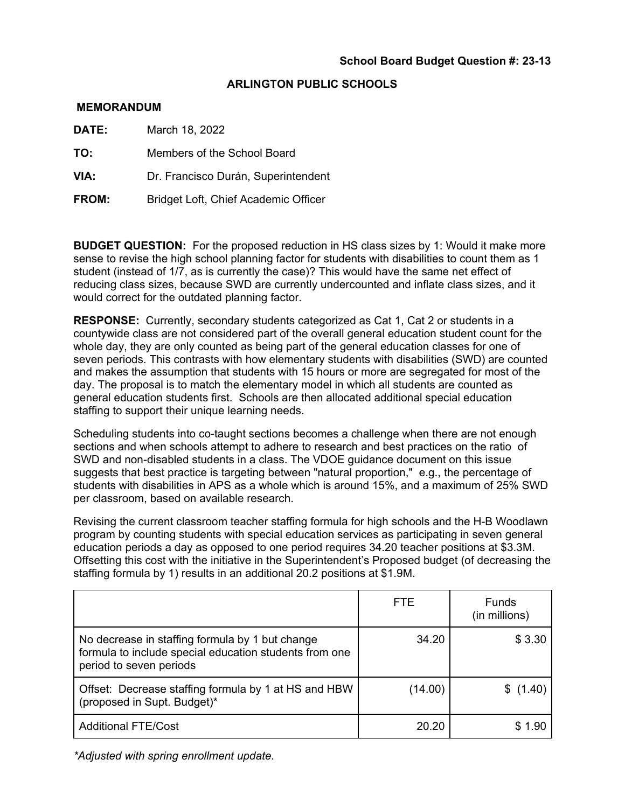#### **MEMORANDUM**

**DATE:** March 18, 2022

**TO:** Members of the School Board

**VIA:** Dr. Francisco Durán, Superintendent

**FROM:** Bridget Loft, Chief Academic Officer

**BUDGET QUESTION:** For the proposed reduction in HS class sizes by 1: Would it make more sense to revise the high school planning factor for students with disabilities to count them as 1 student (instead of 1/7, as is currently the case)? This would have the same net effect of reducing class sizes, because SWD are currently undercounted and inflate class sizes, and it would correct for the outdated planning factor.

**RESPONSE:** Currently, secondary students categorized as Cat 1, Cat 2 or students in a countywide class are not considered part of the overall general education student count for the whole day, they are only counted as being part of the general education classes for one of seven periods. This contrasts with how elementary students with disabilities (SWD) are counted and makes the assumption that students with 15 hours or more are segregated for most of the day. The proposal is to match the elementary model in which all students are counted as general education students first. Schools are then allocated additional special education staffing to support their unique learning needs.

Scheduling students into co-taught sections becomes a challenge when there are not enough sections and when schools attempt to adhere to research and best practices on the ratio of SWD and non-disabled students in a class. The VDOE guidance document on this issue suggests that best practice is targeting between "natural proportion," e.g., the percentage of students with disabilities in APS as a whole which is around 15%, and a maximum of 25% SWD per classroom, based on available research.

Revising the current classroom teacher staffing formula for high schools and the H-B Woodlawn program by counting students with special education services as participating in seven general education periods a day as opposed to one period requires 34.20 teacher positions at \$3.3M. Offsetting this cost with the initiative in the Superintendent's Proposed budget (of decreasing the staffing formula by 1) results in an additional 20.2 positions at \$1.9M.

|                                                                                                                                      | <b>FTE</b> | <b>Funds</b><br>(in millions) |
|--------------------------------------------------------------------------------------------------------------------------------------|------------|-------------------------------|
| No decrease in staffing formula by 1 but change<br>formula to include special education students from one<br>period to seven periods | 34.20      | \$3.30                        |
| Offset: Decrease staffing formula by 1 at HS and HBW<br>(proposed in Supt. Budget)*                                                  | (14.00)    | \$(1.40)                      |
| <b>Additional FTE/Cost</b>                                                                                                           | 20.20      | \$ 1.90                       |

*\*Adjusted with spring enrollment update.*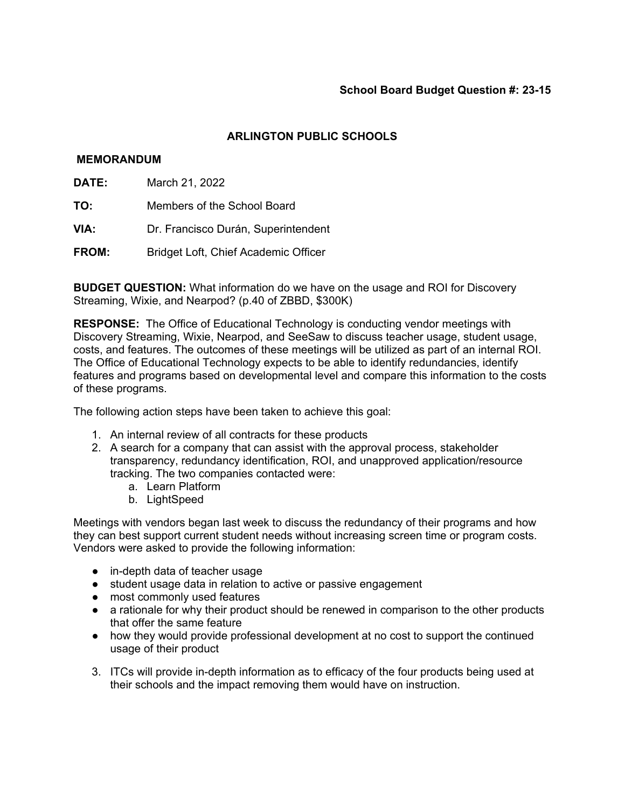## **MEMORANDUM**

- **DATE:** March 21, 2022
- **TO:** Members of the School Board
- **VIA:** Dr. Francisco Durán, Superintendent
- **FROM:** Bridget Loft, Chief Academic Officer

**BUDGET QUESTION:** What information do we have on the usage and ROI for Discovery Streaming, Wixie, and Nearpod? (p.40 of ZBBD, \$300K)

**RESPONSE:** The Office of Educational Technology is conducting vendor meetings with Discovery Streaming, Wixie, Nearpod, and SeeSaw to discuss teacher usage, student usage, costs, and features. The outcomes of these meetings will be utilized as part of an internal ROI. The Office of Educational Technology expects to be able to identify redundancies, identify features and programs based on developmental level and compare this information to the costs of these programs.

The following action steps have been taken to achieve this goal:

- 1. An internal review of all contracts for these products
- 2. A search for a company that can assist with the approval process, stakeholder transparency, redundancy identification, ROI, and unapproved application/resource tracking. The two companies contacted were:
	- a. Learn Platform
	- b. LightSpeed

Meetings with vendors began last week to discuss the redundancy of their programs and how they can best support current student needs without increasing screen time or program costs. Vendors were asked to provide the following information:

- in-depth data of teacher usage
- student usage data in relation to active or passive engagement
- most commonly used features
- a rationale for why their product should be renewed in comparison to the other products that offer the same feature
- how they would provide professional development at no cost to support the continued usage of their product
- 3. ITCs will provide in-depth information as to efficacy of the four products being used at their schools and the impact removing them would have on instruction.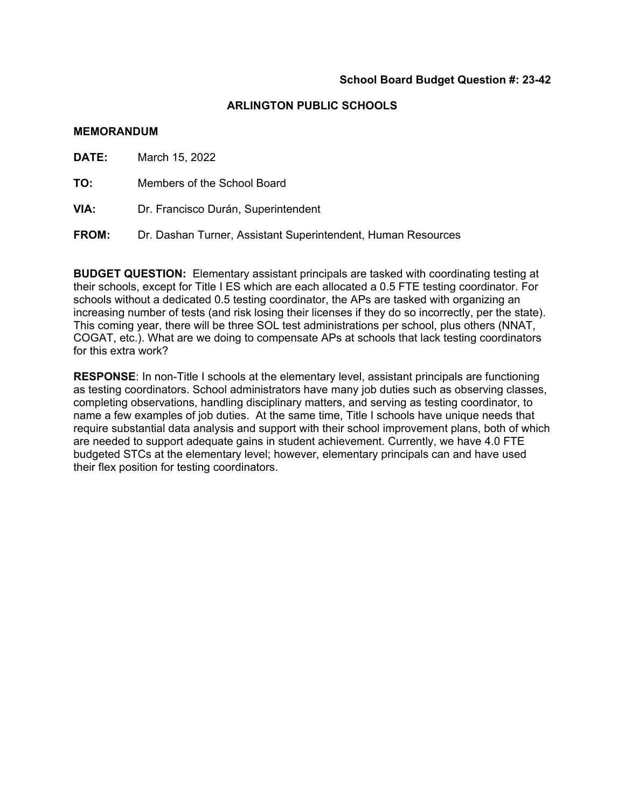#### **MEMORANDUM**

**DATE:** March 15, 2022 **TO:** Members of the School Board **VIA:** Dr. Francisco Durán, Superintendent

**FROM:** Dr. Dashan Turner, Assistant Superintendent, Human Resources

**BUDGET QUESTION:** Elementary assistant principals are tasked with coordinating testing at their schools, except for Title I ES which are each allocated a 0.5 FTE testing coordinator. For schools without a dedicated 0.5 testing coordinator, the APs are tasked with organizing an increasing number of tests (and risk losing their licenses if they do so incorrectly, per the state). This coming year, there will be three SOL test administrations per school, plus others (NNAT, COGAT, etc.). What are we doing to compensate APs at schools that lack testing coordinators for this extra work?

**RESPONSE**: In non-Title I schools at the elementary level, assistant principals are functioning as testing coordinators. School administrators have many job duties such as observing classes, completing observations, handling disciplinary matters, and serving as testing coordinator, to name a few examples of job duties. At the same time, Title I schools have unique needs that require substantial data analysis and support with their school improvement plans, both of which are needed to support adequate gains in student achievement. Currently, we have 4.0 FTE budgeted STCs at the elementary level; however, elementary principals can and have used their flex position for testing coordinators.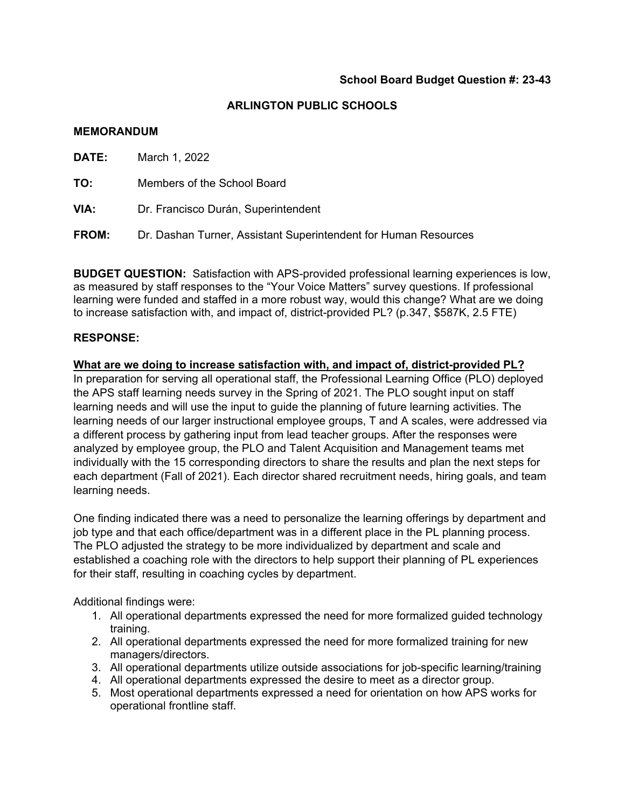#### **MEMORANDUM**

| DATE:        | March 1, 2022                                                   |
|--------------|-----------------------------------------------------------------|
| то:          | Members of the School Board                                     |
| VIA:         | Dr. Francisco Durán, Superintendent                             |
| <b>FROM:</b> | Dr. Dashan Turner, Assistant Superintendent for Human Resources |
|              |                                                                 |

**BUDGET QUESTION:** Satisfaction with APS-provided professional learning experiences is low, as measured by staff responses to the "Your Voice Matters" survey questions. If professional learning were funded and staffed in a more robust way, would this change? What are we doing to increase satisfaction with, and impact of, district-provided PL? (p.347, \$587K, 2.5 FTE)

### **RESPONSE:**

**What are we doing to increase satisfaction with, and impact of, district-provided PL?**  In preparation for serving all operational staff, the Professional Learning Office (PLO) deployed the APS staff learning needs survey in the Spring of 2021. The PLO sought input on staff learning needs and will use the input to guide the planning of future learning activities. The learning needs of our larger instructional employee groups, T and A scales, were addressed via a different process by gathering input from lead teacher groups. After the responses were analyzed by employee group, the PLO and Talent Acquisition and Management teams met individually with the 15 corresponding directors to share the results and plan the next steps for each department (Fall of 2021). Each director shared recruitment needs, hiring goals, and team learning needs.

One finding indicated there was a need to personalize the learning offerings by department and job type and that each office/department was in a different place in the PL planning process. The PLO adjusted the strategy to be more individualized by department and scale and established a coaching role with the directors to help support their planning of PL experiences for their staff, resulting in coaching cycles by department.

Additional findings were:

- 1. All operational departments expressed the need for more formalized guided technology training.
- 2. All operational departments expressed the need for more formalized training for new managers/directors.
- 3. All operational departments utilize outside associations for job-specific learning/training
- 4. All operational departments expressed the desire to meet as a director group.
- 5. Most operational departments expressed a need for orientation on how APS works for operational frontline staff.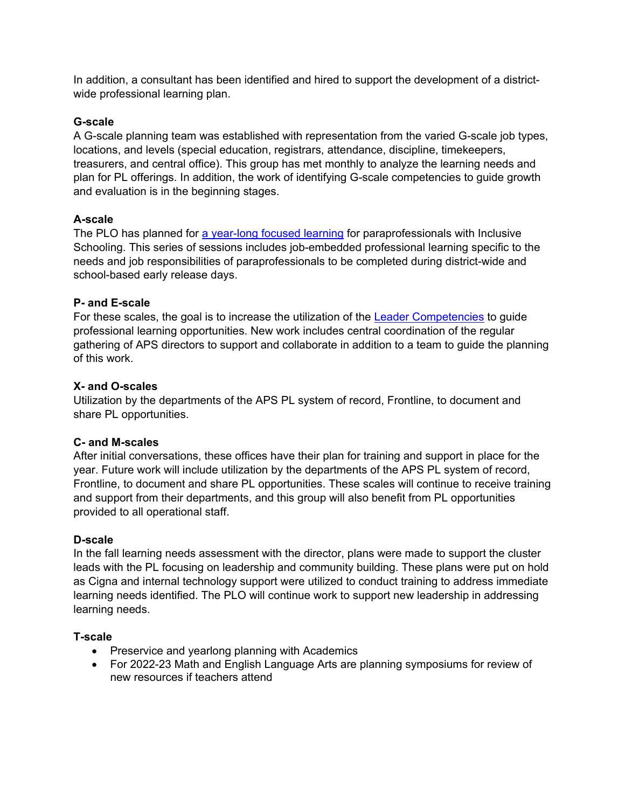In addition, a consultant has been identified and hired to support the development of a districtwide professional learning plan.

# **G-scale**

A G-scale planning team was established with representation from the varied G-scale job types, locations, and levels (special education, registrars, attendance, discipline, timekeepers, treasurers, and central office). This group has met monthly to analyze the learning needs and plan for PL offerings. In addition, the work of identifying G-scale competencies to guide growth and evaluation is in the beginning stages.

# **A-scale**

The PLO has planned for a year-long focused learning for paraprofessionals with Inclusive Schooling. This series of sessions includes job-embedded professional learning specific to the needs and job responsibilities of paraprofessionals to be completed during district-wide and school-based early release days.

## **P- and E-scale**

For these scales, the goal is to increase the utilization of the Leader Competencies to guide professional learning opportunities. New work includes central coordination of the regular gathering of APS directors to support and collaborate in addition to a team to guide the planning of this work.

# **X- and O-scales**

Utilization by the departments of the APS PL system of record, Frontline, to document and share PL opportunities.

## **C- and M-scales**

After initial conversations, these offices have their plan for training and support in place for the year. Future work will include utilization by the departments of the APS PL system of record, Frontline, to document and share PL opportunities. These scales will continue to receive training and support from their departments, and this group will also benefit from PL opportunities provided to all operational staff.

## **D-scale**

In the fall learning needs assessment with the director, plans were made to support the cluster leads with the PL focusing on leadership and community building. These plans were put on hold as Cigna and internal technology support were utilized to conduct training to address immediate learning needs identified. The PLO will continue work to support new leadership in addressing learning needs.

## **T-scale**

- Preservice and yearlong planning with Academics
- For 2022-23 Math and English Language Arts are planning symposiums for review of new resources if teachers attend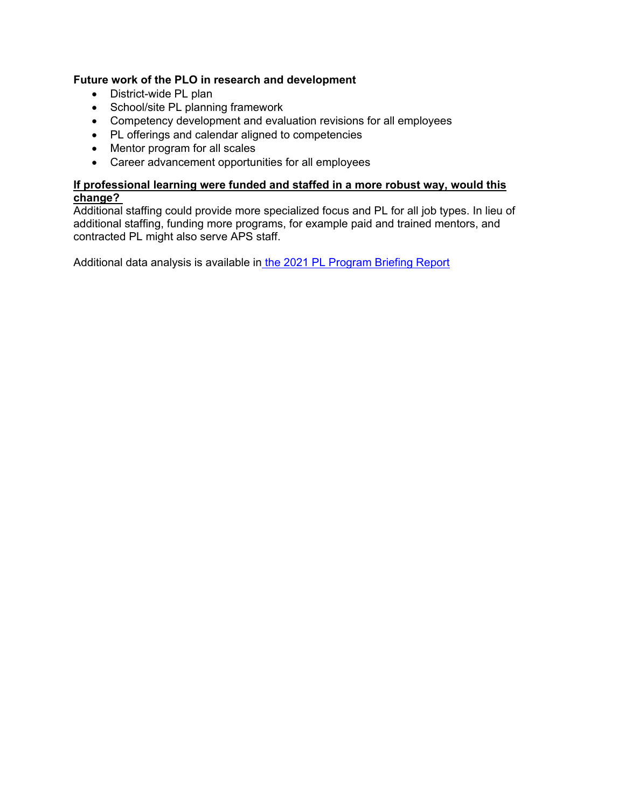# **Future work of the PLO in research and development**

- District-wide PL plan
- School/site PL planning framework
- Competency development and evaluation revisions for all employees
- PL offerings and calendar aligned to competencies
- Mentor program for all scales
- Career advancement opportunities for all employees

# **If professional learning were funded and staffed in a more robust way, would this change?**

Additional staffing could provide more specialized focus and PL for all job types. In lieu of additional staffing, funding more programs, for example paid and trained mentors, and contracted PL might also serve APS staff.

Additional data analysis is available in the 2021 PL Program Briefing Report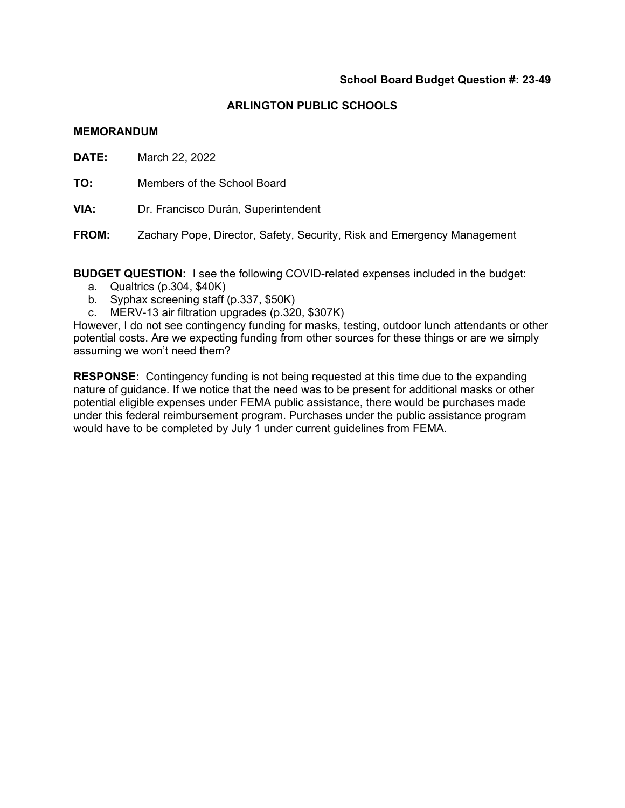#### **MEMORANDUM**

**DATE:** March 22, 2022

**TO:** Members of the School Board

**VIA:** Dr. Francisco Durán, Superintendent

**FROM:** Zachary Pope, Director, Safety, Security, Risk and Emergency Management

**BUDGET QUESTION:** I see the following COVID-related expenses included in the budget:

- a. Qualtrics (p.304, \$40K)
- b. Syphax screening staff (p.337, \$50K)
- c. MERV-13 air filtration upgrades (p.320, \$307K)

However, I do not see contingency funding for masks, testing, outdoor lunch attendants or other potential costs. Are we expecting funding from other sources for these things or are we simply assuming we won't need them?

**RESPONSE:** Contingency funding is not being requested at this time due to the expanding nature of guidance. If we notice that the need was to be present for additional masks or other potential eligible expenses under FEMA public assistance, there would be purchases made under this federal reimbursement program. Purchases under the public assistance program would have to be completed by July 1 under current guidelines from FEMA.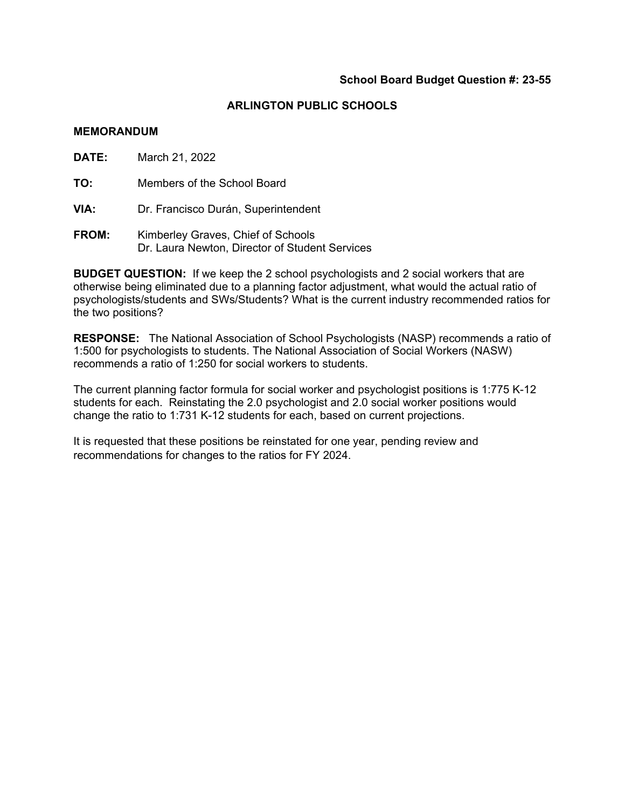#### **MEMORANDUM**

**DATE:** March 21, 2022

**TO:** Members of the School Board

**VIA:** Dr. Francisco Durán, Superintendent

**FROM:** Kimberley Graves, Chief of Schools Dr. Laura Newton, Director of Student Services

**BUDGET QUESTION:** If we keep the 2 school psychologists and 2 social workers that are otherwise being eliminated due to a planning factor adjustment, what would the actual ratio of psychologists/students and SWs/Students? What is the current industry recommended ratios for the two positions?

**RESPONSE:** The National Association of School Psychologists (NASP) recommends a ratio of 1:500 for psychologists to students. The National Association of Social Workers (NASW) recommends a ratio of 1:250 for social workers to students.

The current planning factor formula for social worker and psychologist positions is 1:775 K-12 students for each. Reinstating the 2.0 psychologist and 2.0 social worker positions would change the ratio to 1:731 K-12 students for each, based on current projections.

It is requested that these positions be reinstated for one year, pending review and recommendations for changes to the ratios for FY 2024.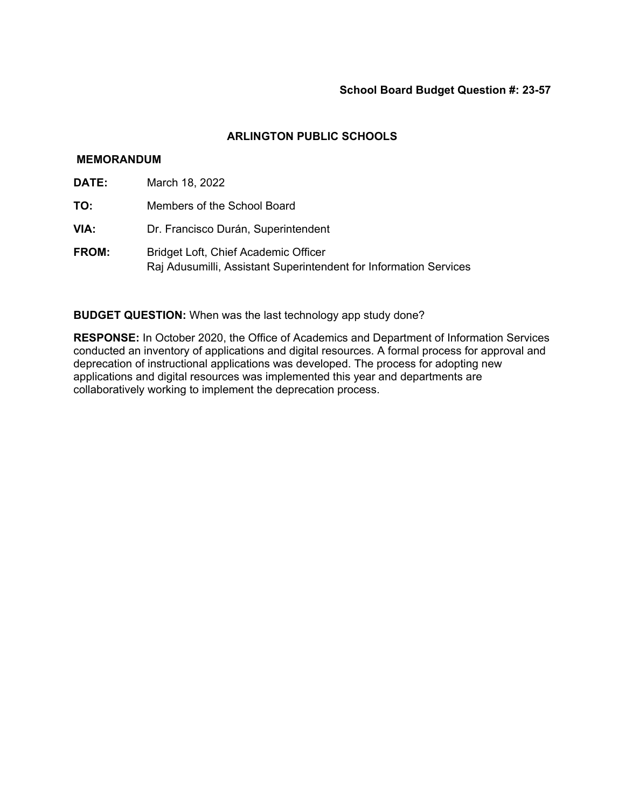## **MEMORANDUM**

- **DATE:** March 18, 2022
- **TO:** Members of the School Board
- **VIA:** Dr. Francisco Durán, Superintendent
- **FROM:** Bridget Loft, Chief Academic Officer Raj Adusumilli, Assistant Superintendent for Information Services

**BUDGET QUESTION:** When was the last technology app study done?

**RESPONSE:** In October 2020, the Office of Academics and Department of Information Services conducted an inventory of applications and digital resources. A formal process for approval and deprecation of instructional applications was developed. The process for adopting new applications and digital resources was implemented this year and departments are collaboratively working to implement the deprecation process.